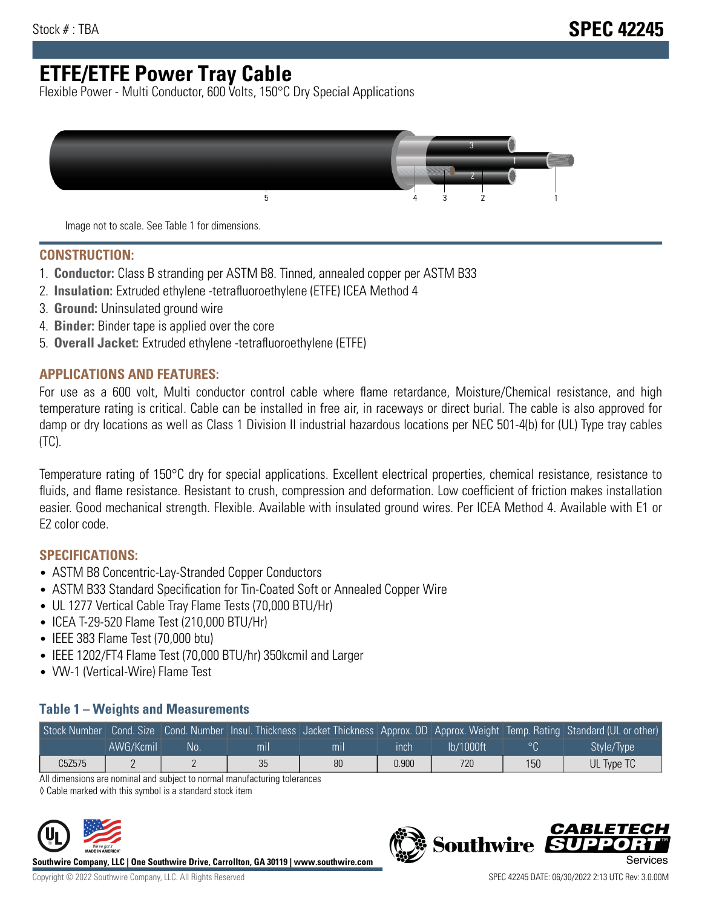# **ETFE/ETFE Power Tray Cable**

Flexible Power - Multi Conductor, 600 Volts, 150°C Dry Special Applications



Image not to scale. See Table 1 for dimensions.

#### **CONSTRUCTION:**

- 1. **Conductor:** Class B stranding per ASTM B8. Tinned, annealed copper per ASTM B33
- 2. **Insulation:** Extruded ethylene -tetrafluoroethylene (ETFE) ICEA Method 4
- 3. **Ground:** Uninsulated ground wire
- 4. **Binder:** Binder tape is applied over the core
- 5. **Overall Jacket:** Extruded ethylene -tetrafluoroethylene (ETFE)

### **APPLICATIONS AND FEATURES:**

For use as a 600 volt, Multi conductor control cable where flame retardance, Moisture/Chemical resistance, and high temperature rating is critical. Cable can be installed in free air, in raceways or direct burial. The cable is also approved for damp or dry locations as well as Class 1 Division II industrial hazardous locations per NEC 501-4(b) for (UL) Type tray cables (TC).

Temperature rating of 150°C dry for special applications. Excellent electrical properties, chemical resistance, resistance to fluids, and flame resistance. Resistant to crush, compression and deformation. Low coefficient of friction makes installation easier. Good mechanical strength. Flexible. Available with insulated ground wires. Per ICEA Method 4. Available with E1 or E2 color code.

## **SPECIFICATIONS:**

- ASTM B8 Concentric-Lay-Stranded Copper Conductors
- ASTM B33 Standard Specification for Tin-Coated Soft or Annealed Copper Wire
- UL 1277 Vertical Cable Tray Flame Tests (70,000 BTU/Hr)
- ICEA T-29-520 Flame Test (210,000 BTU/Hr)
- IEEE 383 Flame Test (70,000 btu)
- IEEE 1202/FT4 Flame Test (70,000 BTU/hr) 350kcmil and Larger
- VW-1 (Vertical-Wire) Flame Test

### **Table 1 – Weights and Measurements**

|        |           |    |     |     |       |           |         | Stock Number Cond. Size Cond. Number Insul. Thickness Jacket Thickness Approx. OD Approx. Weight Temp. Rating Standard (UL or other) |
|--------|-----------|----|-----|-----|-------|-----------|---------|--------------------------------------------------------------------------------------------------------------------------------------|
|        | AWG/Kcmil | No | mıl | mıl | ınch  | lb/1000ft | $\circ$ | Style/Type <sup>1</sup>                                                                                                              |
| C5Z575 |           |    | 35  | 80  | 0.900 | 720       | 150     | UL Type TC                                                                                                                           |

All dimensions are nominal and subject to normal manufacturing tolerances

◊ Cable marked with this symbol is a standard stock item



**Southwire Company, LLC | One Southwire Drive, Carrollton, GA 30119 | www.southwire.com**



CARLET